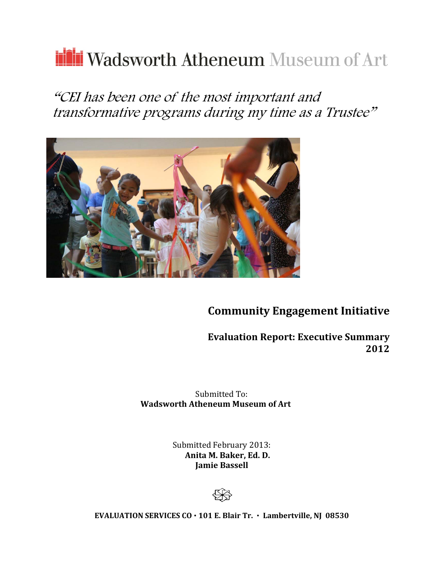# ili Wadsworth Atheneum Museum of Art

"CEI has been one of the most important and transformative programs during my time as a Trustee"



**Community Engagement Initiative**

**Evaluation Report: Executive Summary 2012**

Submitted To: **Wadsworth Atheneum Museum of Art**

> Submitted February 2013:  **Anita M. Baker, Ed. D. Jamie Bassell**



**EVALUATION SERVICES CO 101 E. Blair Tr. Lambertville, NJ 08530**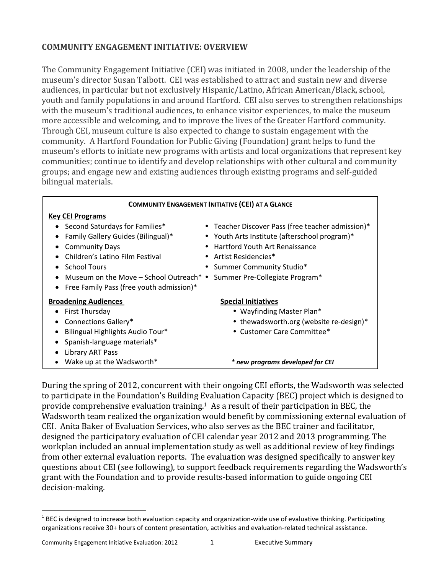# **COMMUNITY ENGAGEMENT INITIATIVE: OVERVIEW**

The Community Engagement Initiative (CEI) was initiated in 2008, under the leadership of the museum's director Susan Talbott. CEI was established to attract and sustain new and diverse audiences, in particular but not exclusively Hispanic/Latino, African American/Black, school, youth and family populations in and around Hartford. CEI also serves to strengthen relationships with the museum's traditional audiences, to enhance visitor experiences, to make the museum more accessible and welcoming, and to improve the lives of the Greater Hartford community. Through CEI, museum culture is also expected to change to sustain engagement with the community. A Hartford Foundation for Public Giving (Foundation) grant helps to fund the museum's efforts to initiate new programs with artists and local organizations that represent key communities; continue to identify and develop relationships with other cultural and community groups; and engage new and existing audiences through existing programs and self‐guided bilingual materials.

| <b>COMMUNITY ENGAGEMENT INITIATIVE (CEI) AT A GLANCE</b>               |                                                   |
|------------------------------------------------------------------------|---------------------------------------------------|
| <b>Key CEI Programs</b>                                                |                                                   |
| Second Saturdays for Families*                                         | • Teacher Discover Pass (free teacher admission)* |
| Family Gallery Guides (Bilingual)*                                     | • Youth Arts Institute (afterschool program)*     |
| <b>Community Days</b>                                                  | • Hartford Youth Art Renaissance                  |
| Children's Latino Film Festival                                        | • Artist Residencies*                             |
| <b>School Tours</b>                                                    | • Summer Community Studio*                        |
| Museum on the Move - School Outreach* . Summer Pre-Collegiate Program* |                                                   |
| • Free Family Pass (free youth admission)*                             |                                                   |
| <b>Broadening Audiences</b>                                            | <b>Special Initiatives</b>                        |
| First Thursday                                                         | • Wayfinding Master Plan*                         |
| Connections Gallery*                                                   | • thewadsworth.org (website re-design)*           |
| Bilingual Highlights Audio Tour*                                       | • Customer Care Committee*                        |
| • Spanish-language materials*                                          |                                                   |
| Library ART Pass                                                       |                                                   |
| Wake up at the Wadsworth*                                              | * new programs developed for CEI                  |

During the spring of 2012, concurrent with their ongoing CEI efforts, the Wadsworth was selected to participate in the Foundation's Building Evaluation Capacity (BEC) project which is designed to provide comprehensive evaluation training.1 As a result of their participation in BEC, the Wadsworth team realized the organization would benefit by commissioning external evaluation of CEI. Anita Baker of Evaluation Services, who also serves as the BEC trainer and facilitator, designed the participatory evaluation of CEI calendar year 2012 and 2013 programming. The workplan included an annual implementation study as well as additional review of key findings from other external evaluation reports. The evaluation was designed specifically to answer key questions about CEI (see following), to support feedback requirements regarding the Wadsworth's grant with the Foundation and to provide results‐based information to guide ongoing CEI decision‐making.

 $\overline{a}$ 

 $1$  BEC is designed to increase both evaluation capacity and organization-wide use of evaluative thinking. Participating organizations receive 30+ hours of content presentation, activities and evaluation-related technical assistance.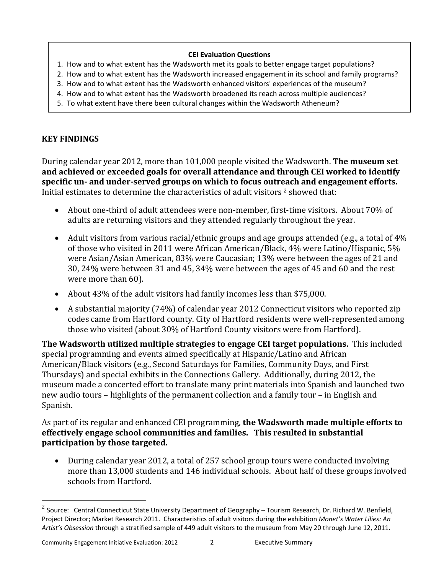#### **CEI Evaluation Questions**

- 1. How and to what extent has the Wadsworth met its goals to better engage target populations?
- 2. How and to what extent has the Wadsworth increased engagement in its school and family programs?
- 3. How and to what extent has the Wadsworth enhanced visitors' experiences of the museum?
- 4. How and to what extent has the Wadsworth broadened its reach across multiple audiences?
- 5. To what extent have there been cultural changes within the Wadsworth Atheneum?

# **KEY FINDINGS**

During calendar year 2012, more than 101,000 people visited the Wadsworth. **The museum set and achieved or exceeded goals for overall attendance and through CEI worked to identify specific un‐ and under‐served groups on which to focus outreach and engagement efforts.** Initial estimates to determine the characteristics of adult visitors 2 showed that:

- About one‐third of adult attendees were non‐member, first‐time visitors. About 70% of adults are returning visitors and they attended regularly throughout the year.
- Adult visitors from various racial/ethnic groups and age groups attended (e.g., a total of 4% of those who visited in 2011 were African American/Black, 4% were Latino/Hispanic, 5% were Asian/Asian American, 83% were Caucasian; 13% were between the ages of 21 and 30, 24% were between 31 and 45, 34% were between the ages of 45 and 60 and the rest were more than 60).
- About 43% of the adult visitors had family incomes less than \$75,000.
- A substantial majority (74%) of calendar year 2012 Connecticut visitors who reported zip codes came from Hartford county. City of Hartford residents were well‐represented among those who visited (about 30% of Hartford County visitors were from Hartford).

**The Wadsworth utilized multiple strategies to engage CEI target populations.** This included special programming and events aimed specifically at Hispanic/Latino and African American/Black visitors (e.g., Second Saturdays for Families, Community Days, and First Thursdays) and special exhibits in the Connections Gallery. Additionally, during 2012, the museum made a concerted effort to translate many print materials into Spanish and launched two new audio tours – highlights of the permanent collection and a family tour – in English and Spanish.

As part of its regular and enhanced CEI programming, **the Wadsworth made multiple efforts to effectively engage school communities and families. This resulted in substantial participation by those targeted.**

 During calendar year 2012, a total of 257 school group tours were conducted involving more than 13,000 students and 146 individual schools. About half of these groups involved schools from Hartford.

 $\overline{a}$ 

<sup>&</sup>lt;sup>2</sup> Source: Central Connecticut State University Department of Geography – Tourism Research, Dr. Richard W. Benfield, Project Director; Market Research 2011. Characteristics of adult visitors during the exhibition *Monet's Water Lilies: An Artist's Obsession* through a stratified sample of 449 adult visitors to the museum from May 20 through June 12, 2011.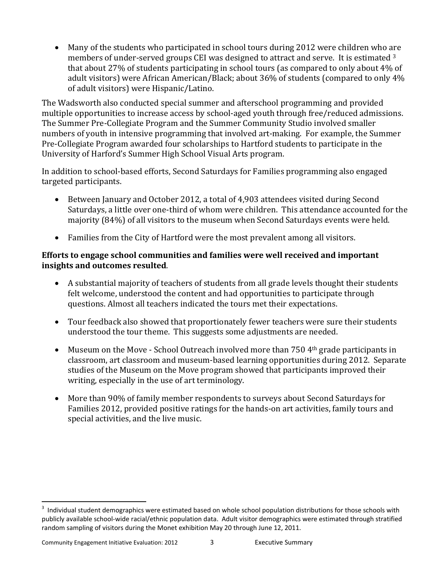Many of the students who participated in school tours during 2012 were children who are members of under-served groups CEI was designed to attract and serve. It is estimated <sup>3</sup> that about 27% of students participating in school tours (as compared to only about 4% of adult visitors) were African American/Black; about 36% of students (compared to only 4% of adult visitors) were Hispanic/Latino.

The Wadsworth also conducted special summer and afterschool programming and provided multiple opportunities to increase access by school-aged youth through free/reduced admissions. The Summer Pre‐Collegiate Program and the Summer Community Studio involved smaller numbers of youth in intensive programming that involved art-making. For example, the Summer Pre‐Collegiate Program awarded four scholarships to Hartford students to participate in the University of Harford's Summer High School Visual Arts program.

In addition to school-based efforts, Second Saturdays for Families programming also engaged targeted participants.

- Between January and October 2012, a total of 4,903 attendees visited during Second Saturdays, a little over one-third of whom were children. This attendance accounted for the majority (84%) of all visitors to the museum when Second Saturdays events were held.
- Families from the City of Hartford were the most prevalent among all visitors.

## **Efforts to engage school communities and families were well received and important insights and outcomes resulted**.

- A substantial majority of teachers of students from all grade levels thought their students felt welcome, understood the content and had opportunities to participate through questions. Almost all teachers indicated the tours met their expectations.
- Tour feedback also showed that proportionately fewer teachers were sure their students understood the tour theme. This suggests some adjustments are needed.
- Museum on the Move School Outreach involved more than 750 4<sup>th</sup> grade participants in classroom, art classroom and museum‐based learning opportunities during 2012. Separate studies of the Museum on the Move program showed that participants improved their writing, especially in the use of art terminology.
- More than 90% of family member respondents to surveys about Second Saturdays for Families 2012, provided positive ratings for the hands‐on art activities, family tours and special activities, and the live music.

 3 Individual student demographics were estimated based on whole school population distributions for those schools with publicly available school‐wide racial/ethnic population data. Adult visitor demographics were estimated through stratified random sampling of visitors during the Monet exhibition May 20 through June 12, 2011.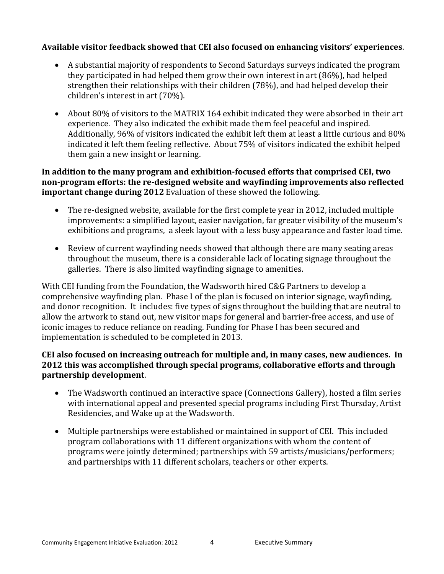## **Available visitor feedback showed that CEI also focused on enhancing visitors' experiences**.

- A substantial majority of respondents to Second Saturdays surveys indicated the program they participated in had helped them grow their own interest in art (86%), had helped strengthen their relationships with their children (78%), and had helped develop their children's interest in art (70%).
- About 80% of visitors to the MATRIX 164 exhibit indicated they were absorbed in their art experience. They also indicated the exhibit made them feel peaceful and inspired. Additionally, 96% of visitors indicated the exhibit left them at least a little curious and 80% indicated it left them feeling reflective. About 75% of visitors indicated the exhibit helped them gain a new insight or learning.

## **In addition to the many program and exhibition‐focused efforts that comprised CEI, two non‐program efforts: the re‐designed website and wayfinding improvements also reflected important change during 2012** Evaluation of these showed the following.

- The re-designed website, available for the first complete year in 2012, included multiple improvements: a simplified layout, easier navigation, far greater visibility of the museum's exhibitions and programs, a sleek layout with a less busy appearance and faster load time.
- Review of current wayfinding needs showed that although there are many seating areas throughout the museum, there is a considerable lack of locating signage throughout the galleries. There is also limited wayfinding signage to amenities.

With CEI funding from the Foundation, the Wadsworth hired C&G Partners to develop a comprehensive wayfinding plan. Phase I of the plan is focused on interior signage, wayfinding, and donor recognition. It includes: five types of signs throughout the building that are neutral to allow the artwork to stand out, new visitor maps for general and barrier‐free access, and use of iconic images to reduce reliance on reading. Funding for Phase I has been secured and implementation is scheduled to be completed in 2013.

## **CEI also focused on increasing outreach for multiple and, in many cases, new audiences. In 2012 this was accomplished through special programs, collaborative efforts and through partnership development**.

- The Wadsworth continued an interactive space (Connections Gallery), hosted a film series with international appeal and presented special programs including First Thursday, Artist Residencies, and Wake up at the Wadsworth.
- Multiple partnerships were established or maintained in support of CEI. This included program collaborations with 11 different organizations with whom the content of programs were jointly determined; partnerships with 59 artists/musicians/performers; and partnerships with 11 different scholars, teachers or other experts.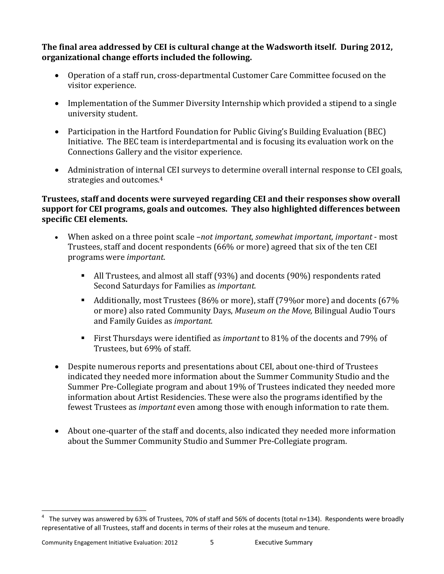**The final area addressed by CEI is cultural change at the Wadsworth itself. During 2012, organizational change efforts included the following.** 

- Operation of a staff run, cross‐departmental Customer Care Committee focused on the visitor experience.
- Implementation of the Summer Diversity Internship which provided a stipend to a single university student.
- Participation in the Hartford Foundation for Public Giving's Building Evaluation (BEC) Initiative. The BEC team is interdepartmental and is focusing its evaluation work on the Connections Gallery and the visitor experience.
- Administration of internal CEI surveys to determine overall internal response to CEI goals, strategies and outcomes.4

## **Trustees, staff and docents were surveyed regarding CEI and their responses show overall support for CEI programs, goals and outcomes. They also highlighted differences between specific CEI elements.**

- When asked on a three point scale –*not important, somewhat important, important* ‐ most Trustees, staff and docent respondents (66% or more) agreed that six of the ten CEI programs were *important*.
	- All Trustees, and almost all staff (93%) and docents (90%) respondents rated Second Saturdays for Families as *important.*
	- Additionally, most Trustees (86% or more), staff (79% or more) and docents (67% or more) also rated Community Days, *Museum on the Move,* Bilingual Audio Tours and Family Guides as *important.*
	- First Thursdays were identified as *important* to 81% of the docents and 79% of Trustees, but 69% of staff.
- Despite numerous reports and presentations about CEI, about one-third of Trustees indicated they needed more information about the Summer Community Studio and the Summer Pre‐Collegiate program and about 19% of Trustees indicated they needed more information about Artist Residencies. These were also the programs identified by the fewest Trustees as *important* even among those with enough information to rate them.
- About one-quarter of the staff and docents, also indicated they needed more information about the Summer Community Studio and Summer Pre‐Collegiate program.

 $\overline{a}$ 

<sup>&</sup>lt;sup>4</sup> The survey was answered by 63% of Trustees, 70% of staff and 56% of docents (total n=134). Respondents were broadly representative of all Trustees, staff and docents in terms of their roles at the museum and tenure.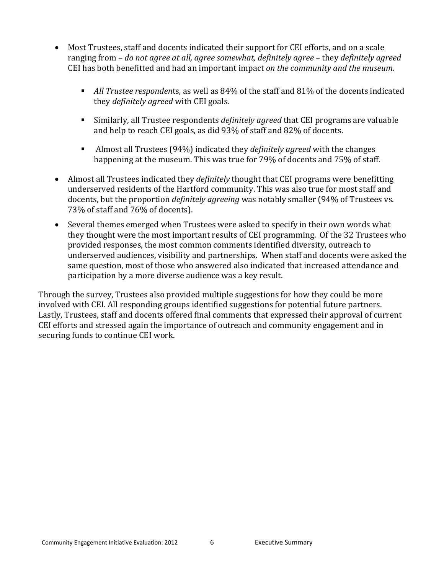- Most Trustees, staff and docents indicated their support for CEI efforts, and on a scale ranging from – *do not agree at all, agree somewhat, definitely agree* – they *definitely agreed* CEI has both benefitted and had an important impact *on the community and the museum.*
	- *All Trustee responden*ts*,* as well as 84% of the staff and 81% of the docents indicated they *definitely agreed* with CEI goals.
	- Similarly, all Trustee respondents *definitely agreed* that CEI programs are valuable and help to reach CEI goals, as did 93% of staff and 82% of docents.
	- Almost all Trustees (94%) indicated they *definitely agreed* with the changes happening at the museum. This was true for 79% of docents and 75% of staff.
- Almost all Trustees indicated they *definitely* thought that CEI programs were benefitting underserved residents of the Hartford community. This was also true for most staff and docents, but the proportion *definitely agreeing* was notably smaller (94% of Trustees vs. 73% of staff and 76% of docents).
- Several themes emerged when Trustees were asked to specify in their own words what they thought were the most important results of CEI programming. Of the 32 Trustees who provided responses, the most common comments identified diversity, outreach to underserved audiences, visibility and partnerships. When staff and docents were asked the same question, most of those who answered also indicated that increased attendance and participation by a more diverse audience was a key result.

Through the survey, Trustees also provided multiple suggestions for how they could be more involved with CEI. All responding groups identified suggestions for potential future partners. Lastly, Trustees, staff and docents offered final comments that expressed their approval of current CEI efforts and stressed again the importance of outreach and community engagement and in securing funds to continue CEI work.